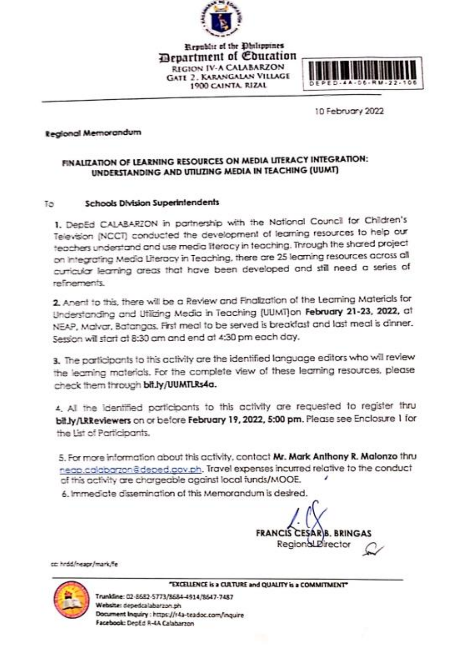

**Republic of the Dhilippines** *<u>Bepartment</u>* of *Couration* REGION IV-A CALABARZON **GATE 2. KARANGALAN VILLAGE** 1900 CAINTA RIZAL



**10 February 2022** 

## **Regional Memorandum**

## **FINALIZATION OF LEARNING RESOURCES ON MEDIA LITERACY INTEGRATION:**

## **Schools Division Superintendents** Tо

1. DepEd CALABARZON in partnership with the National Council for Children's Television (NCCT) conducted the development of learning resources to help our<br>teachers understand and use media literacy in teaching. Through the shared project on integrating Media Literacy in Teaching, there are 25 learning resources across all the teachers are that have been developed and still need a series of on Integrating Media Literacy in Teaching, there are 25 learning resources across all curricular learning areas that have been developed and still need areas that have been developed and still need and series of

Anent to this Understanding and Utilizing Media in Teaching (UUMT)on **February 21-23, 2022,** at<br>NEAP, Malvar, Batangas. First meal to be served is breakfast and last meal is dinner. Session will start at 8:30 am and end at 4:30 pm each day. NEAP, Malvar, Batangas. First meal to be served is breakfast and last meal is dinner.

3. The participants to this activity are the identified language editors who will review the learning materials. For the complete view of these learning resources, please check them through bit.ly/UUMTLRs4a.

4. All the identified participants to this activity are requested to register thru bit.ly/LRReviewers on or before February 19, 2022, 5:00 pm. Please see Enclosure 1 for the List of Participants.

neap.calabarzon@deped.acv.ph. Travel expenses incurred relative to the conduct af this activity are chargeable against local funds/MOOE.

6. Immediate dissemination of this Memorandum is desired.

6. Immediate dissemination of this Memorandum is desired. **FRANCIS CESARIB, BRINGAS Regional** *Birector* 

cc: hrdd/neapr/mark/fe



"EXCELLENCE is a CULTURE and QUALITY is a COMMITMENT"

 **"EXCELLENCE is a CULTURE and QUALITY is a COMMITMENT"** Website: depedcalabarzon.ph Document Inquiry : https://r4a-teadoc.com/inquire Facebook: DepEd R-4A Calabarzon